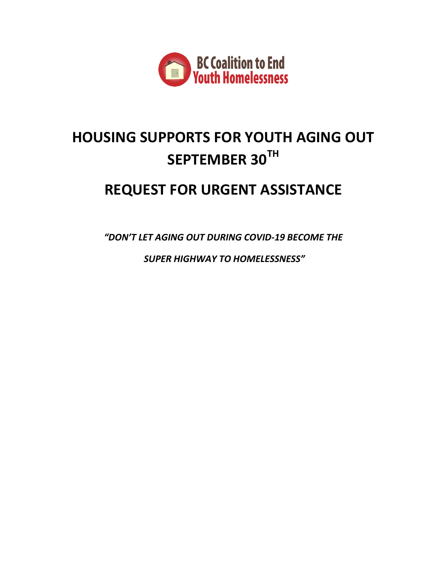

# **HOUSING SUPPORTS FOR YOUTH AGING OUT SEPTEMBER 30TH**

# **REQUEST FOR URGENT ASSISTANCE**

*"DON'T LET AGING OUT DURING COVID-19 BECOME THE*

*SUPER HIGHWAY TO HOMELESSNESS"*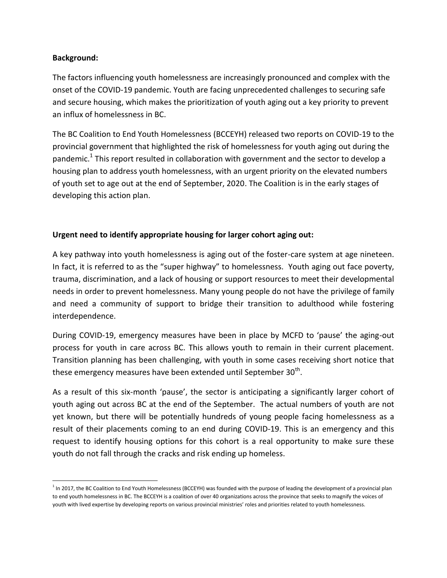#### **Background:**

 $\overline{a}$ 

The factors influencing youth homelessness are increasingly pronounced and complex with the onset of the COVID-19 pandemic. Youth are facing unprecedented challenges to securing safe and secure housing, which makes the prioritization of youth aging out a key priority to prevent an influx of homelessness in BC.

The BC Coalition to End Youth Homelessness (BCCEYH) released two reports on COVID-19 to the provincial government that highlighted the risk of homelessness for youth aging out during the pandemic.<sup>1</sup> This report resulted in collaboration with government and the sector to develop a housing plan to address youth homelessness, with an urgent priority on the elevated numbers of youth set to age out at the end of September, 2020. The Coalition is in the early stages of developing this action plan.

### **Urgent need to identify appropriate housing for larger cohort aging out:**

A key pathway into youth homelessness is aging out of the foster-care system at age nineteen. In fact, it is referred to as the "super highway" to homelessness. Youth aging out face poverty, trauma, discrimination, and a lack of housing or support resources to meet their developmental needs in order to prevent homelessness. Many young people do not have the privilege of family and need a community of support to bridge their transition to adulthood while fostering interdependence.

During COVID-19, emergency measures have been in place by MCFD to 'pause' the aging-out process for youth in care across BC. This allows youth to remain in their current placement. Transition planning has been challenging, with youth in some cases receiving short notice that these emergency measures have been extended until September 30<sup>th</sup>.

As a result of this six-month 'pause', the sector is anticipating a significantly larger cohort of youth aging out across BC at the end of the September. The actual numbers of youth are not yet known, but there will be potentially hundreds of young people facing homelessness as a result of their placements coming to an end during COVID-19. This is an emergency and this request to identify housing options for this cohort is a real opportunity to make sure these youth do not fall through the cracks and risk ending up homeless.

<sup>&</sup>lt;sup>1</sup> In 2017, the BC Coalition to End Youth Homelessness (BCCEYH) was founded with the purpose of leading the development of a provincial plan to end youth homelessness in BC. The BCCEYH is a coalition of over 40 organizations across the province that seeks to magnify the voices of youth with lived expertise by developing reports on various provincial ministries' roles and priorities related to youth homelessness.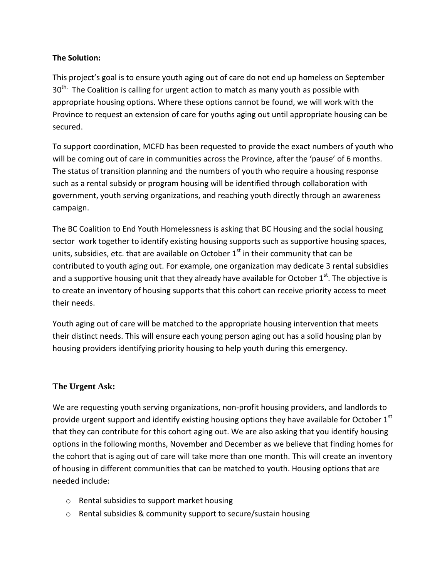#### **The Solution:**

This project's goal is to ensure youth aging out of care do not end up homeless on September  $30<sup>th</sup>$  The Coalition is calling for urgent action to match as many youth as possible with appropriate housing options. Where these options cannot be found, we will work with the Province to request an extension of care for youths aging out until appropriate housing can be secured.

To support coordination, MCFD has been requested to provide the exact numbers of youth who will be coming out of care in communities across the Province, after the 'pause' of 6 months. The status of transition planning and the numbers of youth who require a housing response such as a rental subsidy or program housing will be identified through collaboration with government, youth serving organizations, and reaching youth directly through an awareness campaign.

The BC Coalition to End Youth Homelessness is asking that BC Housing and the social housing sector work together to identify existing housing supports such as supportive housing spaces, units, subsidies, etc. that are available on October  $1<sup>st</sup>$  in their community that can be contributed to youth aging out. For example, one organization may dedicate 3 rental subsidies and a supportive housing unit that they already have available for October  $1<sup>st</sup>$ . The objective is to create an inventory of housing supports that this cohort can receive priority access to meet their needs.

Youth aging out of care will be matched to the appropriate housing intervention that meets their distinct needs. This will ensure each young person aging out has a solid housing plan by housing providers identifying priority housing to help youth during this emergency.

## **The Urgent Ask:**

We are requesting youth serving organizations, non-profit housing providers, and landlords to provide urgent support and identify existing housing options they have available for October  $1^{\text{st}}$ that they can contribute for this cohort aging out. We are also asking that you identify housing options in the following months, November and December as we believe that finding homes for the cohort that is aging out of care will take more than one month. This will create an inventory of housing in different communities that can be matched to youth. Housing options that are needed include:

- o Rental subsidies to support market housing
- o Rental subsidies & community support to secure/sustain housing